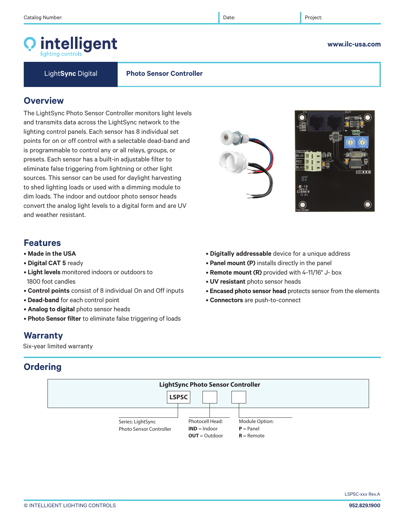# intelligent

Light**Sync** Digital **Photo Sensor Controller**

## **Overview**

The LightSync Photo Sensor Controller monitors light levels and transmits data across the LightSync network to the lighting control panels. Each sensor has 8 individual set points for on or off control with a selectable dead-band and is programmable to control any or all relays, groups, or presets. Each sensor has a built-in adjustable filter to eliminate false triggering from lightning or other light sources. This sensor can be used for daylight harvesting to shed lighting loads or used with a dimming module to dim loads. The indoor and outdoor photo sensor heads convert the analog light levels to a digital form and are UV and weather resistant.

## **Features**

- **Made in the USA**
- **Digital CAT 5** ready
- **Light levels** monitored indoors or outdoors to 1800 foot candles
- **Control points** consist of 8 individual On and Off inputs
- **Dead-band** for each control point
- **Analog to digital** photo sensor heads
- **Photo Sensor filter** to eliminate false triggering of loads

## **Warranty**

Six-year limited warranty

## **Ordering**



• **Digitally addressable** device for a unique address

- **Panel mount (P)** installs directly in the panel
- **UV resistant** photo sensor heads
- **Encased photo sensor head** protects sensor from the elements
- **Connectors** are push-to-connect
- **Remote mount (R)** provided with 4-11/16" J- box
- -
	-

LSPSC-xxx Rev.A





## **www.ilc-usa.com**